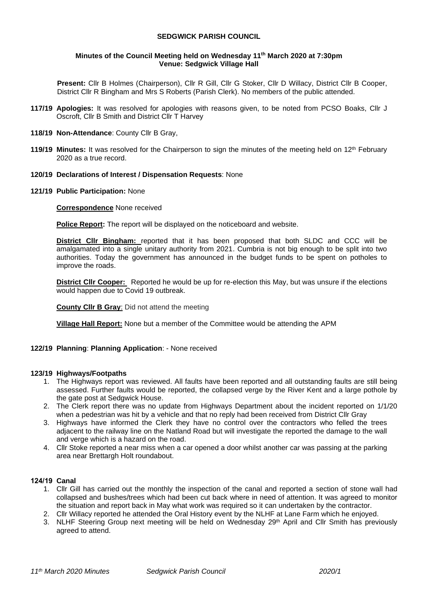### **SEDGWICK PARISH COUNCIL**

#### **Minutes of the Council Meeting held on Wednesday 11 th March 2020 at 7:30pm Venue: Sedgwick Village Hall**

**Present:** Cllr B Holmes (Chairperson), Cllr R Gill, Cllr G Stoker, Cllr D Willacy, District Cllr B Cooper, District Cllr R Bingham and Mrs S Roberts (Parish Clerk). No members of the public attended.

- **117/19 Apologies:** It was resolved for apologies with reasons given, to be noted from PCSO Boaks, Cllr J Oscroft, Cllr B Smith and District Cllr T Harvey
- **118/19 Non-Attendance**: County Cllr B Gray,
- **119/19 Minutes:** It was resolved for the Chairperson to sign the minutes of the meeting held on 12th February 2020 as a true record.
- **120/19 Declarations of Interest / Dispensation Requests**: None
- **121/19 Public Participation:** None

### **Correspondence** None received

**Police Report:** The report will be displayed on the noticeboard and website.

**District Cllr Bingham:** reported that it has been proposed that both SLDC and CCC will be amalgamated into a single unitary authority from 2021. Cumbria is not big enough to be split into two authorities. Today the government has announced in the budget funds to be spent on potholes to improve the roads.

**District Cllr Cooper:** Reported he would be up for re-election this May, but was unsure if the elections would happen due to Covid 19 outbreak.

**County Cllr B Gray**: Did not attend the meeting

**Village Hall Report:** None but a member of the Committee would be attending the APM

#### **122/19 Planning**: **Planning Application**: - None received

#### **123/19 Highways/Footpaths**

- 1. The Highways report was reviewed. All faults have been reported and all outstanding faults are still being assessed. Further faults would be reported, the collapsed verge by the River Kent and a large pothole by the gate post at Sedgwick House.
- 2. The Clerk report there was no update from Highways Department about the incident reported on 1/1/20 when a pedestrian was hit by a vehicle and that no reply had been received from District Cllr Gray
- 3. Highways have informed the Clerk they have no control over the contractors who felled the trees adjacent to the railway line on the Natland Road but will investigate the reported the damage to the wall and verge which is a hazard on the road.
- 4. Cllr Stoke reported a near miss when a car opened a door whilst another car was passing at the parking area near Brettargh Holt roundabout.

#### **124/19 Canal**

- 1. Cllr Gill has carried out the monthly the inspection of the canal and reported a section of stone wall had collapsed and bushes/trees which had been cut back where in need of attention. It was agreed to monitor the situation and report back in May what work was required so it can undertaken by the contractor.
- 2. Cllr Willacy reported he attended the Oral History event by the NLHF at Lane Farm which he enjoyed.
- 3. NLHF Steering Group next meeting will be held on Wednesday 29<sup>th</sup> April and Cllr Smith has previously agreed to attend.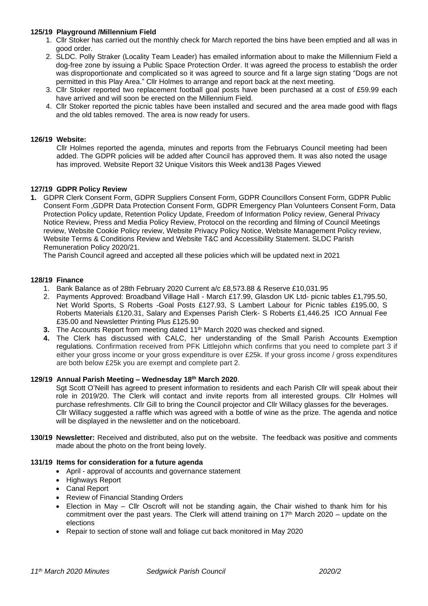# **125/19 Playground /Millennium Field**

- 1. Cllr Stoker has carried out the monthly check for March reported the bins have been emptied and all was in good order.
- 2. SLDC. Polly Straker (Locality Team Leader) has emailed information about to make the Millennium Field a dog-free zone by issuing a Public Space Protection Order. It was agreed the process to establish the order was disproportionate and complicated so it was agreed to source and fit a large sign stating "Dogs are not permitted in this Play Area." Cllr Holmes to arrange and report back at the next meeting.
- 3. Cllr Stoker reported two replacement football goal posts have been purchased at a cost of £59.99 each have arrived and will soon be erected on the Millennium Field.
- 4. Cllr Stoker reported the picnic tables have been installed and secured and the area made good with flags and the old tables removed. The area is now ready for users.

### **126/19 Website:**

Cllr Holmes reported the agenda, minutes and reports from the Februarys Council meeting had been added. The GDPR policies will be added after Council has approved them. It was also noted the usage has improved. Website Report 32 Unique Visitors this Week and138 Pages Viewed

# **127/19 GDPR Policy Review**

**1.** GDPR Clerk Consent Form, GDPR Suppliers Consent Form, GDPR Councillors Consent Form, GDPR Public Consent Form ,GDPR Data Protection Consent Form, GDPR Emergency Plan Volunteers Consent Form, Data Protection Policy update, Retention Policy Update, Freedom of Information Policy review, General Privacy Notice Review, Press and Media Policy Review, Protocol on the recording and filming of Council Meetings review, Website Cookie Policy review, Website Privacy Policy Notice, Website Management Policy review, Website Terms & Conditions Review and Website T&C and Accessibility Statement. SLDC Parish Remuneration Policy 2020/21.

The Parish Council agreed and accepted all these policies which will be updated next in 2021

# **128/19 Finance**

- 1. Bank Balance as of 28th February 2020 Current a/c £8,573.88 & Reserve £10,031.95
- 2. Payments Approved: Broadband Village Hall March £17.99, Glasdon UK Ltd- picnic tables £1,795.50, Net World Sports, S Roberts -Goal Posts £127.93, S Lambert Labour for Picnic tables £195.00, S Roberts Materials £120.31, Salary and Expenses Parish Clerk- S Roberts £1,446.25 ICO Annual Fee £35.00 and Newsletter Printing Plus £125.90
- **3.** The Accounts Report from meeting dated 11<sup>th</sup> March 2020 was checked and signed.
- **4.** The Clerk has discussed with CALC, her understanding of the Small Parish Accounts Exemption regulations. Confirmation received from PFK Littlejohn which confirms that you need to complete part 3 if either your gross income or your gross expenditure is over £25k. If your gross income / gross expenditures are both below £25k you are exempt and complete part 2.

### **129/19 Annual Parish Meeting – Wednesday 18th March 2020**.

Sgt Scott O'Neill has agreed to present information to residents and each Parish Cllr will speak about their role in 2019/20. The Clerk will contact and invite reports from all interested groups. Cllr Holmes will purchase refreshments. Cllr Gill to bring the Council projector and Cllr Willacy glasses for the beverages. Cllr Willacy suggested a raffle which was agreed with a bottle of wine as the prize. The agenda and notice will be displayed in the newsletter and on the noticeboard.

**130/19 Newsletter:** Received and distributed, also put on the website. The feedback was positive and comments made about the photo on the front being lovely.

#### **131/19 Items for consideration for a future agenda**

- April approval of accounts and governance statement
- Highways Report
- Canal Report
- Review of Financial Standing Orders
- Election in May Cllr Oscroft will not be standing again, the Chair wished to thank him for his commitment over the past years. The Clerk will attend training on  $17<sup>th</sup>$  March 2020 – update on the elections
- Repair to section of stone wall and foliage cut back monitored in May 2020